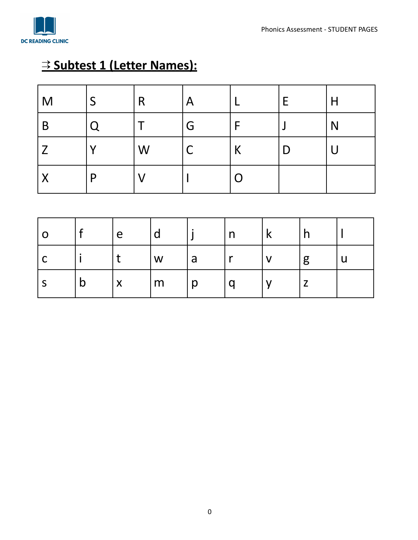

# ⇉ **Subtest 1 (Letter Names):**

| $\overline{\mathsf{M}}$   |   | R | $\mathsf{A}$ |   | E. | H      |
|---------------------------|---|---|--------------|---|----|--------|
| B                         | O |   | G            |   |    | N      |
| $\overline{Z}$            |   | W |              | K | D  | $\cup$ |
| $\boldsymbol{\mathsf{X}}$ | D |   |              | O |    |        |

| <b>O</b> |              | l e                       |   |   | $\mathsf{n}$ |   |  |
|----------|--------------|---------------------------|---|---|--------------|---|--|
| ı C      |              |                           | W | a | <b>MA</b>    | g |  |
| C        | $\mathsf{D}$ | $\boldsymbol{\mathsf{X}}$ | m | p | a            |   |  |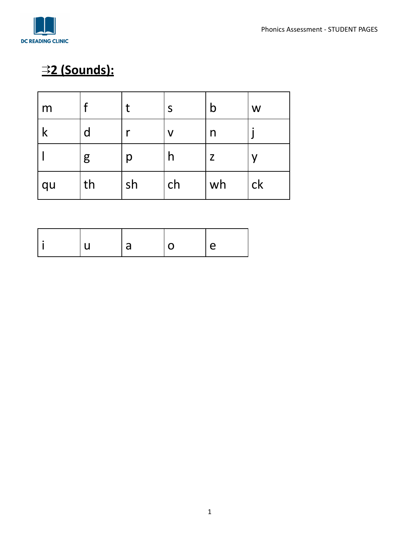

# ⇉**2 (Sounds):**

| m  |    |    | S  | $\mathsf b$ | W  |
|----|----|----|----|-------------|----|
| К  | d  |    | V  | n           |    |
|    | g  | р  | n  | Z           | V  |
| qu | th | sh | ch | wh          | ck |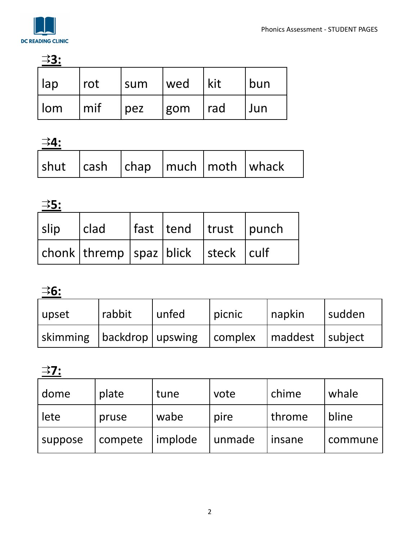| <u> 33:</u>       |     |     |     |     |     |
|-------------------|-----|-----|-----|-----|-----|
| lap               | rot | sum | wed | kit | bun |
| $  \mathsf{l}$ om | mif | pez | gom | rad | Jun |

⇉**4:**

| $\vert$ shut $\vert$ cash $\vert$ chap $\vert$ much $\vert$ moth $\vert$ whack |  |  |
|--------------------------------------------------------------------------------|--|--|

⇉**5:**

| slip | $ $ clad                             |  | fast   tend   trust   punch |  |
|------|--------------------------------------|--|-----------------------------|--|
|      | chonk thremp spaz blick  steck  culf |  |                             |  |

⇉**6:**

| upset                         | rabbit | l unfed | picnic                      | napkin | l sudden |
|-------------------------------|--------|---------|-----------------------------|--------|----------|
| skimming   backdrop   upswing |        |         | complex   maddest   subject |        |          |

⇉**7:**

| dome    | plate   | tune    | vote   | chime  | whale   |
|---------|---------|---------|--------|--------|---------|
| lete    | pruse   | wabe    | pire   | throme | bline   |
| suppose | compete | implode | unmade | insane | commune |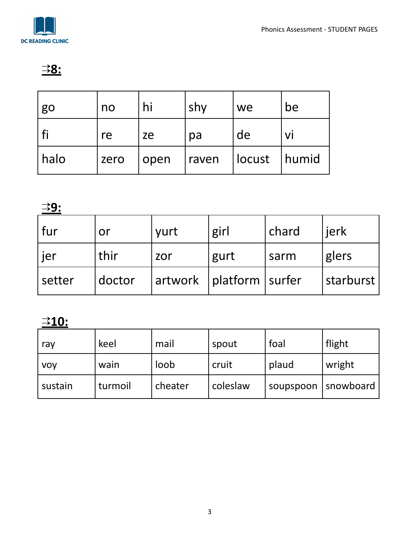

### ⇉**8:**

| go   | no   | hi   | shy   | we     | be    |
|------|------|------|-------|--------|-------|
|      | re   | ze   | pa    | de     | VI    |
| halo | zero | open | raven | locust | humid |

⇉**9:**

| fur    | or     | yurt | girl                        | chard | jerk      |
|--------|--------|------|-----------------------------|-------|-----------|
| . jer  | thir   | zor  | gurt                        | sarm  | glers     |
| setter | doctor |      | artwork   platform   surfer |       | starburst |

## ⇉**10:**

| ray        | keel    | mail    | spout    | foal      | flight    |
|------------|---------|---------|----------|-----------|-----------|
| <b>VOV</b> | wain    | loob    | cruit    | plaud     | wright    |
| sustain    | turmoil | cheater | coleslaw | soupspoon | snowboard |